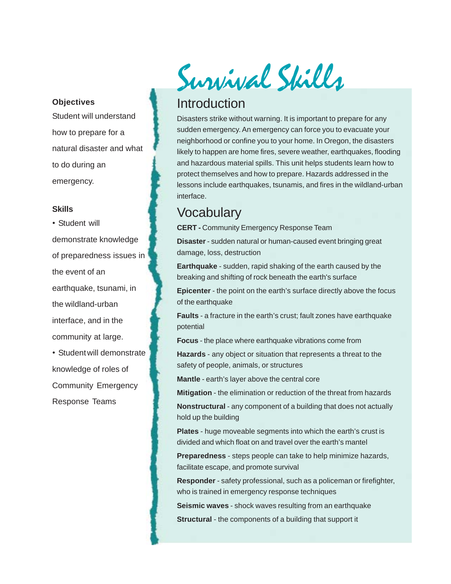#### **Objectives**

Student will understand how to prepare for a natural disaster and what to do during an emergency.

#### **Skills**

• Student will demonstrate knowledge of preparedness issues in the event of an earthquake, tsunami, in the wildland-urban interface, and in the community at large. • Student will demonstrate

knowledge of roles of Community Emergency Response Teams

Survival Skills

## Introduction

Disasters strike without warning. It is important to prepare for any sudden emergency. An emergency can force you to evacuate your neighborhood or confine you to your home. In Oregon, the disasters likely to happen are home fires, severe weather, earthquakes, flooding and hazardous material spills. This unit helps students learn how to protect themselves and how to prepare. Hazards addressed in the lessons include earthquakes, tsunamis, and fires in the wildland-urban interface.

## **Vocabulary**

**CERT -** Community Emergency Response Team

**Disaster** - sudden natural or human-caused event bringing great damage, loss, destruction

**Earthquake** - sudden, rapid shaking of the earth caused by the breaking and shifting of rock beneath the earth's surface

**Epicenter** - the point on the earth's surface directly above the focus of the earthquake

**Faults** - a fracture in the earth's crust; fault zones have earthquake potential

**Focus** - the place where earthquake vibrations come from

**Hazards** - any object or situation that represents a threat to the safety of people, animals, or structures

**Mantle** - earth's layer above the central core

**Mitigation** - the elimination or reduction of the threat from hazards

**Nonstructural** - any component of a building that does not actually hold up the building

**Plates** - huge moveable segments into which the earth's crust is divided and which float on and travel over the earth's mantel

**Preparedness** - steps people can take to help minimize hazards, facilitate escape, and promote survival

**Responder** - safety professional, such as a policeman or firefighter, who is trained in emergency response techniques

**Seismic waves** - shock waves resulting from an earthquake **Structural** - the components of a building that support it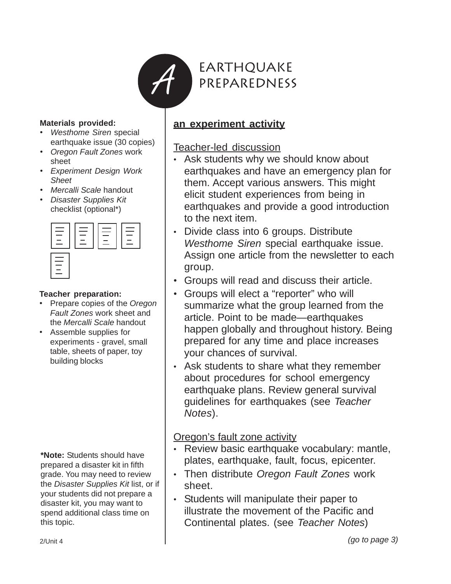

#### **Materials provided:**

- *Westhome Siren* special earthquake issue (30 copies)
- *• Oregon Fault Zones* work sheet
- *• Experiment Design Work Sheet*
- *• Mercalli Scale* handout
- *Disaster Supplies Kit* checklist (optional\*)



#### **Teacher preparation:**

- Prepare copies of the *Oregon Fault Zones* work sheet and the *Mercalli Scale* handout
- Assemble supplies for experiments - gravel, small table, sheets of paper, toy building blocks

**\*Note:** Students should have prepared a disaster kit in fifth grade. You may need to review the *Disaster Supplies Kit* list, or if your students did not prepare a disaster kit, you may want to spend additional class time on this topic.

## **an experiment activity**

## Teacher-led discussion

- Ask students why we should know about earthquakes and have an emergency plan for them. Accept various answers. This might elicit student experiences from being in earthquakes and provide a good introduction to the next item.
- Divide class into 6 groups. Distribute *Westhome Siren* special earthquake issue. Assign one article from the newsletter to each group.
- Groups will read and discuss their article.
- Groups will elect a "reporter" who will summarize what the group learned from the article. Point to be made—earthquakes happen globally and throughout history. Being prepared for any time and place increases your chances of survival.
- Ask students to share what they remember about procedures for school emergency earthquake plans. Review general survival guidelines for earthquakes (see *Teacher Notes*).

## Oregon's fault zone activity

- Review basic earthquake vocabulary: mantle, plates, earthquake, fault, focus, epicenter.
- Then distribute *Oregon Fault Zones* work sheet.
- Students will manipulate their paper to illustrate the movement of the Pacific and Continental plates. (see *Teacher Notes*)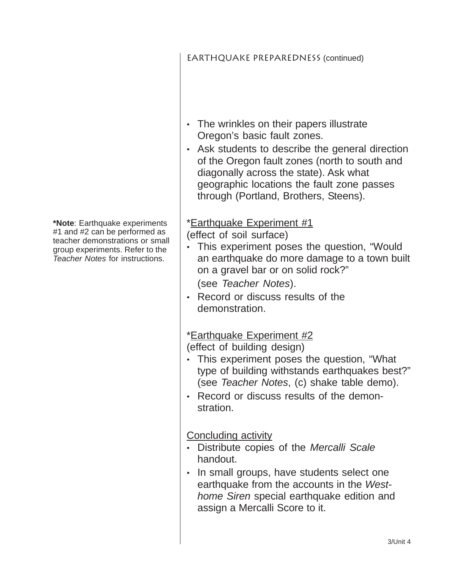- The wrinkles on their papers illustrate Oregon's basic fault zones.
- Ask students to describe the general direction of the Oregon fault zones (north to south and diagonally across the state). Ask what geographic locations the fault zone passes through (Portland, Brothers, Steens).

## \*Earthquake Experiment #1

(effect of soil surface)

- This experiment poses the question, "Would an earthquake do more damage to a town built on a gravel bar or on solid rock?" (see *Teacher Notes*).
- Record or discuss results of the demonstration.

## \*Earthquake Experiment #2

(effect of building design)

- This experiment poses the question, "What type of building withstands earthquakes best?" (see *Teacher Notes*, (c) shake table demo).
- Record or discuss results of the demonstration.

Concluding activity

- Distribute copies of the *Mercalli Scale* handout.
- In small groups, have students select one earthquake from the accounts in the *Westhome Siren* special earthquake edition and assign a Mercalli Score to it.

**\*Note**: Earthquake experiments #1 and #2 can be performed as teacher demonstrations or small group experiments. Refer to the *Teacher Notes* for instructions.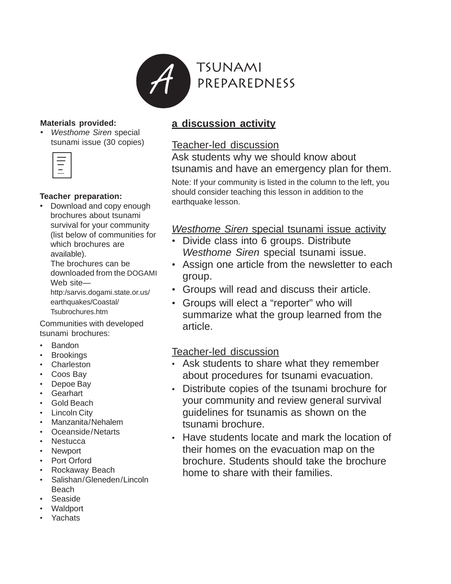

#### **Materials provided:**

• *Westhome Siren* special tsunami issue (30 copies)

| í         |
|-----------|
| ___<br>__ |
|           |

#### **Teacher preparation:**

• Download and copy enough brochures about tsunami survival for your community (list below of communities for which brochures are available).

The brochures can be downloaded from the DOGAMI Web site—

http:/sarvis.dogami.state.or.us/ earthquakes/Coastal/ Tsubrochures.htm

Communities with developed tsunami brochures:

- Bandon
- Brookings
- Charleston
- Coos Bay
- Depoe Bay
- Gearhart
- Gold Beach
- Lincoln City
- Manzanita/Nehalem
- Oceanside/Netarts
- Nestucca
- Newport
- Port Orford
- Rockaway Beach
- Salishan/Gleneden/Lincoln Beach
- Seaside
- Waldport
- **Yachats**

## **a discussion activity**

## Teacher-led discussion

Ask students why we should know about tsunamis and have an emergency plan for them.

Note: If your community is listed in the column to the left, you should consider teaching this lesson in addition to the earthquake lesson.

## *Westhome Siren* special tsunami issue activity

- Divide class into 6 groups. Distribute *Westhome Siren* special tsunami issue.
- Assign one article from the newsletter to each group.
- Groups will read and discuss their article.
- Groups will elect a "reporter" who will summarize what the group learned from the article.

## Teacher-led discussion

- Ask students to share what they remember about procedures for tsunami evacuation.
- Distribute copies of the tsunami brochure for your community and review general survival guidelines for tsunamis as shown on the tsunami brochure.
- Have students locate and mark the location of their homes on the evacuation map on the brochure. Students should take the brochure home to share with their families.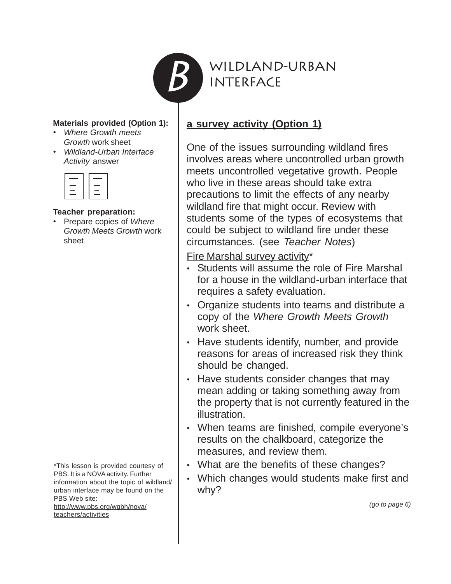

Wildland-urban **INTERFACE** 

#### **Materials provided (Option 1):**

- *Where Growth meets Growth* work sheet
- *Wildland-Urban Interface Activity* answer

| <b>Service Service</b> |   |
|------------------------|---|
| -                      | - |
| _                      |   |
|                        |   |
|                        |   |

#### **Teacher preparation:**

• Prepare copies of *Where Growth Meets Growth* work sheet

\*This lesson is provided courtesy of PBS. It is a NOVA activity. Further information about the topic of wildland/ urban interface may be found on the PBS Web site:

http://www.pbs.org/wgbh/nova/ teachers/activities

## **a survey activity (Option 1)**

One of the issues surrounding wildland fires involves areas where uncontrolled urban growth meets uncontrolled vegetative growth. People who live in these areas should take extra precautions to limit the effects of any nearby wildland fire that might occur. Review with students some of the types of ecosystems that could be subject to wildland fire under these circumstances. (see *Teacher Notes*)

Fire Marshal survey activity\*

- Students will assume the role of Fire Marshal for a house in the wildland-urban interface that requires a safety evaluation.
- Organize students into teams and distribute a copy of the *Where Growth Meets Growth* work sheet.
- Have students identify, number, and provide reasons for areas of increased risk they think should be changed.
- Have students consider changes that may mean adding or taking something away from the property that is not currently featured in the illustration.
- When teams are finished, compile everyone's results on the chalkboard, categorize the measures, and review them.
- What are the benefits of these changes?
- Which changes would students make first and why?

 *(go to page 6)*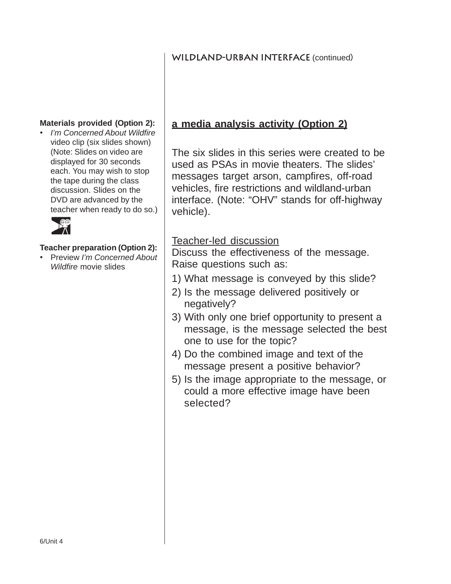## **WILDLAND-URBAN INTERFACE (continued)**

#### **Materials provided (Option 2):**

• *I'm Concerned About Wildfire* video clip (six slides shown) (Note: Slides on video are displayed for 30 seconds each. You may wish to stop the tape during the class discussion. Slides on the DVD are advanced by the teacher when ready to do so.)



#### **Teacher preparation (Option 2):**

• Preview *I'm Concerned About Wildfire* movie slides

## **a media analysis activity (Option 2)**

The six slides in this series were created to be used as PSAs in movie theaters. The slides' messages target arson, campfires, off-road vehicles, fire restrictions and wildland-urban interface. (Note: "OHV" stands for off-highway vehicle).

## Teacher-led discussion

Discuss the effectiveness of the message. Raise questions such as:

- 1) What message is conveyed by this slide?
- 2) Is the message delivered positively or negatively?
- 3) With only one brief opportunity to present a message, is the message selected the best one to use for the topic?
- 4) Do the combined image and text of the message present a positive behavior?
- 5) Is the image appropriate to the message, or could a more effective image have been selected?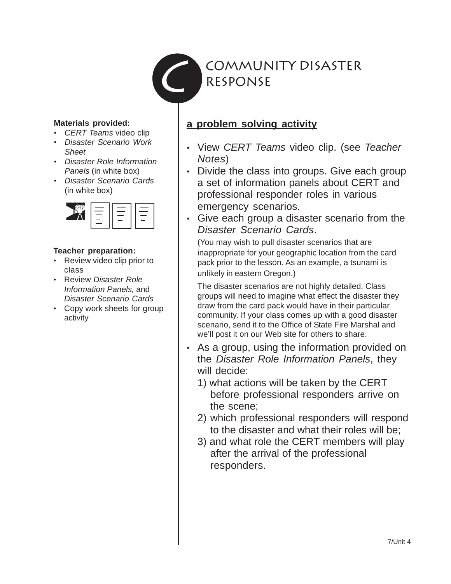

#### **Materials provided:**

- *CERT Teams* video clip
- *Disaster Scenario Work Sheet*
- *Disaster Role Information Panels* (in white box)
- *Disaster Scenario Cards* (in white box)



#### **Teacher preparation:**

- Review video clip prior to class
- Review *Disaster Role Information Panels,* and *Disaster Scenario Cards*
- Copy work sheets for group activity

## **a problem solving activity**

- View *CERT Teams* video clip. (see *Teacher Notes*)
- Divide the class into groups. Give each group a set of information panels about CERT and professional responder roles in various emergency scenarios.
- Give each group a disaster scenario from the *Disaster Scenario Cards*.

(You may wish to pull disaster scenarios that are inappropriate for your geographic location from the card pack prior to the lesson. As an example, a tsunami is unlikely in eastern Oregon.)

The disaster scenarios are not highly detailed. Class groups will need to imagine what effect the disaster they draw from the card pack would have in their particular community. If your class comes up with a good disaster scenario, send it to the Office of State Fire Marshal and we'll post it on our Web site for others to share.

- As a group, using the information provided on the *Disaster Role Information Panels*, they will decide:
	- 1) what actions will be taken by the CERT before professional responders arrive on the scene;
	- 2) which professional responders will respond to the disaster and what their roles will be;
	- 3) and what role the CERT members will play after the arrival of the professional responders.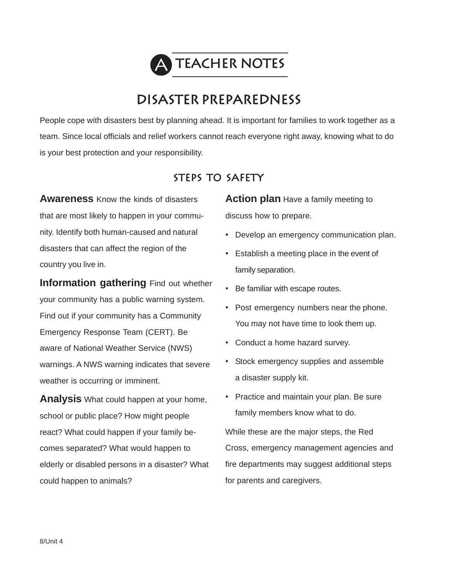

# **Disaster Preparedness**

People cope with disasters best by planning ahead. It is important for families to work together as a team. Since local officials and relief workers cannot reach everyone right away, knowing what to do is your best protection and your responsibility.

## **Steps to safety**

**Awareness** Know the kinds of disasters that are most likely to happen in your community. Identify both human-caused and natural disasters that can affect the region of the country you live in.

**Information gathering** Find out whether your community has a public warning system. Find out if your community has a Community Emergency Response Team (CERT). Be aware of National Weather Service (NWS) warnings. A NWS warning indicates that severe weather is occurring or imminent.

**Analysis** What could happen at your home, school or public place? How might people react? What could happen if your family becomes separated? What would happen to elderly or disabled persons in a disaster? What could happen to animals?

**Action plan** Have a family meeting to discuss how to prepare.

- Develop an emergency communication plan.
- Establish a meeting place in the event of family separation.
- Be familiar with escape routes.
- Post emergency numbers near the phone. You may not have time to look them up.
- Conduct a home hazard survey.

for parents and caregivers.

- Stock emergency supplies and assemble a disaster supply kit.
- Practice and maintain your plan. Be sure family members know what to do. While these are the major steps, the Red Cross, emergency management agencies and fire departments may suggest additional steps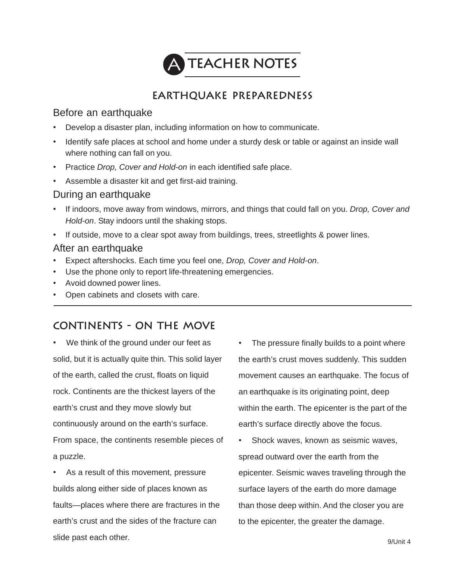

## **Earthquake Preparedness**

## Before an earthquake

- Develop a disaster plan, including information on how to communicate.
- Identify safe places at school and home under a sturdy desk or table or against an inside wall where nothing can fall on you.
- Practice *Drop, Cover and Hold-on* in each identified safe place.
- Assemble a disaster kit and get first-aid training.

#### During an earthquake

- If indoors, move away from windows, mirrors, and things that could fall on you. *Drop, Cover and Hold-on*. Stay indoors until the shaking stops.
- If outside, move to a clear spot away from buildings, trees, streetlights & power lines.

### After an earthquake

- Expect aftershocks. Each time you feel one, *Drop, Cover and Hold-on*.
- Use the phone only to report life-threatening emergencies.
- Avoid downed power lines.
- Open cabinets and closets with care.

## **Continents - on the move**

We think of the ground under our feet as solid, but it is actually quite thin. This solid layer of the earth, called the crust, floats on liquid rock. Continents are the thickest layers of the earth's crust and they move slowly but continuously around on the earth's surface. From space, the continents resemble pieces of a puzzle.

As a result of this movement, pressure builds along either side of places known as faults—places where there are fractures in the earth's crust and the sides of the fracture can slide past each other.

• The pressure finally builds to a point where the earth's crust moves suddenly. This sudden movement causes an earthquake. The focus of an earthquake is its originating point, deep within the earth. The epicenter is the part of the earth's surface directly above the focus.

• Shock waves, known as seismic waves, spread outward over the earth from the epicenter. Seismic waves traveling through the surface layers of the earth do more damage than those deep within. And the closer you are to the epicenter, the greater the damage.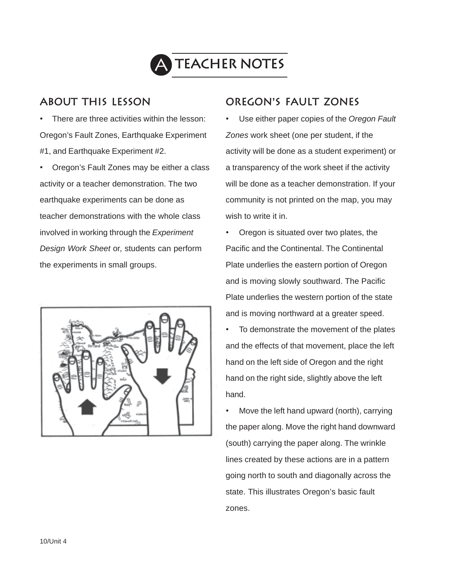

## **About this lesson**

There are three activities within the lesson: Oregon's Fault Zones, Earthquake Experiment #1, and Earthquake Experiment #2.

• Oregon's Fault Zones may be either a class activity or a teacher demonstration. The two earthquake experiments can be done as teacher demonstrations with the whole class involved in working through the *Experiment Design Work Sheet* or, students can perform the experiments in small groups.



## **oregon's fault zones**

• Use either paper copies of the *Oregon Fault Zones* work sheet (one per student, if the activity will be done as a student experiment) or a transparency of the work sheet if the activity will be done as a teacher demonstration. If your community is not printed on the map, you may wish to write it in.

• Oregon is situated over two plates, the Pacific and the Continental. The Continental Plate underlies the eastern portion of Oregon and is moving slowly southward. The Pacific Plate underlies the western portion of the state and is moving northward at a greater speed.

To demonstrate the movement of the plates and the effects of that movement, place the left hand on the left side of Oregon and the right hand on the right side, slightly above the left hand.

• Move the left hand upward (north), carrying the paper along. Move the right hand downward (south) carrying the paper along. The wrinkle lines created by these actions are in a pattern going north to south and diagonally across the state. This illustrates Oregon's basic fault zones.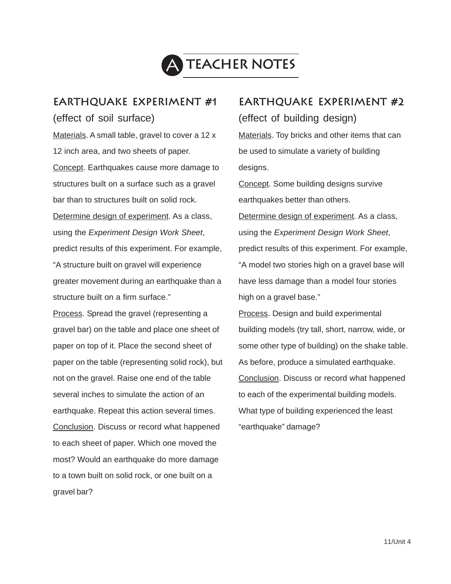

## **Earthquake Experiment #1**

(effect of soil surface)

Materials. A small table, gravel to cover a 12 x 12 inch area, and two sheets of paper. Concept. Earthquakes cause more damage to structures built on a surface such as a gravel bar than to structures built on solid rock. Determine design of experiment. As a class, using the *Experiment Design Work Sheet*, predict results of this experiment. For example, "A structure built on gravel will experience greater movement during an earthquake than a structure built on a firm surface."

Process. Spread the gravel (representing a gravel bar) on the table and place one sheet of paper on top of it. Place the second sheet of paper on the table (representing solid rock), but not on the gravel. Raise one end of the table several inches to simulate the action of an earthquake. Repeat this action several times. Conclusion. Discuss or record what happened to each sheet of paper. Which one moved the most? Would an earthquake do more damage to a town built on solid rock, or one built on a gravel bar?

## **Earthquake Experiment #2** (effect of building design)

Materials. Toy bricks and other items that can be used to simulate a variety of building desians.

Concept. Some building designs survive earthquakes better than others.

Determine design of experiment. As a class, using the *Experiment Design Work Sheet*, predict results of this experiment. For example, "A model two stories high on a gravel base will have less damage than a model four stories high on a gravel base."

Process. Design and build experimental building models (try tall, short, narrow, wide, or some other type of building) on the shake table. As before, produce a simulated earthquake. Conclusion. Discuss or record what happened to each of the experimental building models. What type of building experienced the least "earthquake" damage?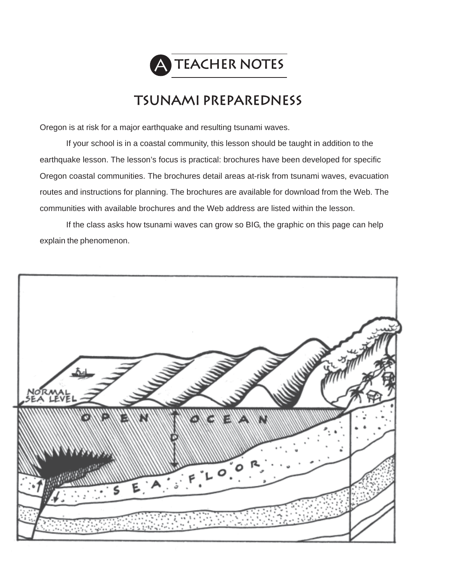

# **tsunami preparedness**

Oregon is at risk for a major earthquake and resulting tsunami waves.

If your school is in a coastal community, this lesson should be taught in addition to the earthquake lesson. The lesson's focus is practical: brochures have been developed for specific Oregon coastal communities. The brochures detail areas at-risk from tsunami waves, evacuation routes and instructions for planning. The brochures are available for download from the Web. The communities with available brochures and the Web address are listed within the lesson.

If the class asks how tsunami waves can grow so BIG, the graphic on this page can help explain the phenomenon.

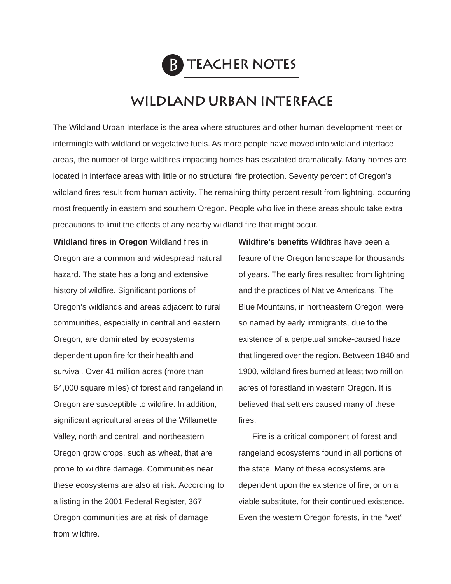

# **wildland urban interface**

The Wildland Urban Interface is the area where structures and other human development meet or intermingle with wildland or vegetative fuels. As more people have moved into wildland interface areas, the number of large wildfires impacting homes has escalated dramatically. Many homes are located in interface areas with little or no structural fire protection. Seventy percent of Oregon's wildland fires result from human activity. The remaining thirty percent result from lightning, occurring most frequently in eastern and southern Oregon. People who live in these areas should take extra precautions to limit the effects of any nearby wildland fire that might occur.

**Wildland fires in Oregon** Wildland fires in Oregon are a common and widespread natural hazard. The state has a long and extensive history of wildfire. Significant portions of Oregon's wildlands and areas adjacent to rural communities, especially in central and eastern Oregon, are dominated by ecosystems dependent upon fire for their health and survival. Over 41 million acres (more than 64,000 square miles) of forest and rangeland in Oregon are susceptible to wildfire. In addition, significant agricultural areas of the Willamette Valley, north and central, and northeastern Oregon grow crops, such as wheat, that are prone to wildfire damage. Communities near these ecosystems are also at risk. According to a listing in the 2001 Federal Register, 367 Oregon communities are at risk of damage from wildfire.

**Wildfire's benefits** Wildfires have been a feaure of the Oregon landscape for thousands of years. The early fires resulted from lightning and the practices of Native Americans. The Blue Mountains, in northeastern Oregon, were so named by early immigrants, due to the existence of a perpetual smoke-caused haze that lingered over the region. Between 1840 and 1900, wildland fires burned at least two million acres of forestland in western Oregon. It is believed that settlers caused many of these fires.

Fire is a critical component of forest and rangeland ecosystems found in all portions of the state. Many of these ecosystems are dependent upon the existence of fire, or on a viable substitute, for their continued existence. Even the western Oregon forests, in the "wet"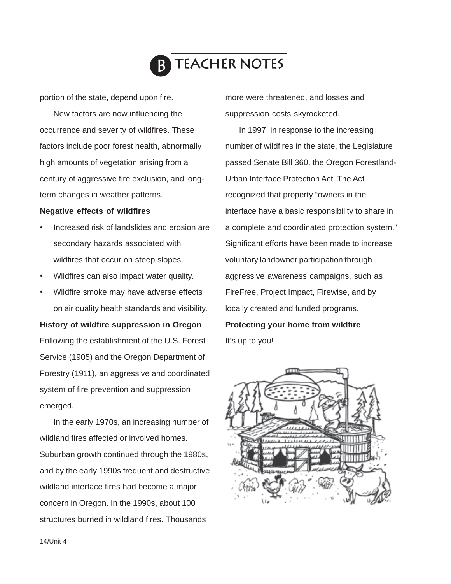

portion of the state, depend upon fire.

New factors are now influencing the occurrence and severity of wildfires. These factors include poor forest health, abnormally high amounts of vegetation arising from a century of aggressive fire exclusion, and longterm changes in weather patterns.

#### **Negative effects of wildfires**

- Increased risk of landslides and erosion are secondary hazards associated with wildfires that occur on steep slopes.
- Wildfires can also impact water quality.
- Wildfire smoke may have adverse effects on air quality health standards and visibility.

#### **History of wildfire suppression in Oregon**

Following the establishment of the U.S. Forest Service (1905) and the Oregon Department of Forestry (1911), an aggressive and coordinated system of fire prevention and suppression emerged.

In the early 1970s, an increasing number of wildland fires affected or involved homes. Suburban growth continued through the 1980s, and by the early 1990s frequent and destructive wildland interface fires had become a major concern in Oregon. In the 1990s, about 100 structures burned in wildland fires. Thousands

more were threatened, and losses and suppression costs skyrocketed.

In 1997, in response to the increasing number of wildfires in the state, the Legislature passed Senate Bill 360, the Oregon Forestland-Urban Interface Protection Act. The Act recognized that property "owners in the interface have a basic responsibility to share in a complete and coordinated protection system." Significant efforts have been made to increase voluntary landowner participation through aggressive awareness campaigns, such as FireFree, Project Impact, Firewise, and by locally created and funded programs. **Protecting your home from wildfire**

It's up to you!

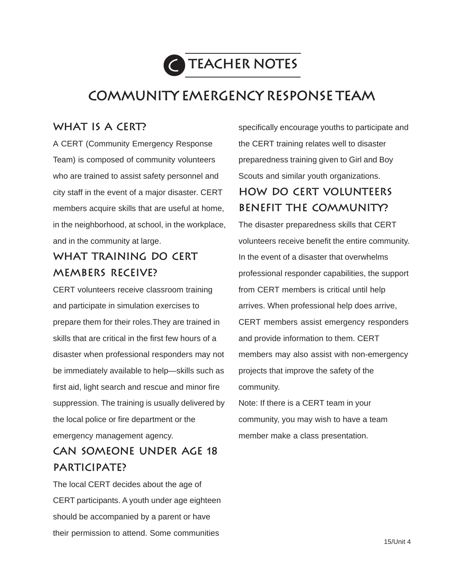

# **Community Emergency Response TEam**

## **What is a CERT?**

A CERT (Community Emergency Response Team) is composed of community volunteers who are trained to assist safety personnel and city staff in the event of a major disaster. CERT members acquire skills that are useful at home, in the neighborhood, at school, in the workplace, and in the community at large.

# **What training do CERT members receive?**

CERT volunteers receive classroom training and participate in simulation exercises to prepare them for their roles.They are trained in skills that are critical in the first few hours of a disaster when professional responders may not be immediately available to help—skills such as first aid, light search and rescue and minor fire suppression. The training is usually delivered by the local police or fire department or the emergency management agency.

# **Can someone under age 18 participate?**

The local CERT decides about the age of CERT participants. A youth under age eighteen should be accompanied by a parent or have their permission to attend. Some communities

specifically encourage youths to participate and the CERT training relates well to disaster preparedness training given to Girl and Boy Scouts and similar youth organizations.

# **how do CERT volunteers benefit the community?**

The disaster preparedness skills that CERT volunteers receive benefit the entire community. In the event of a disaster that overwhelms professional responder capabilities, the support from CERT members is critical until help arrives. When professional help does arrive, CERT members assist emergency responders and provide information to them. CERT members may also assist with non-emergency projects that improve the safety of the community.

Note: If there is a CERT team in your community, you may wish to have a team member make a class presentation.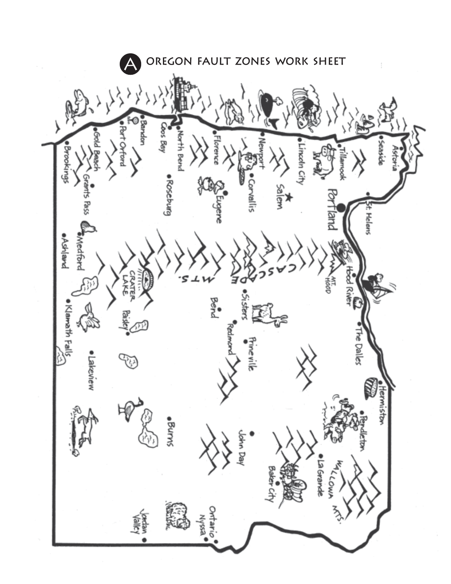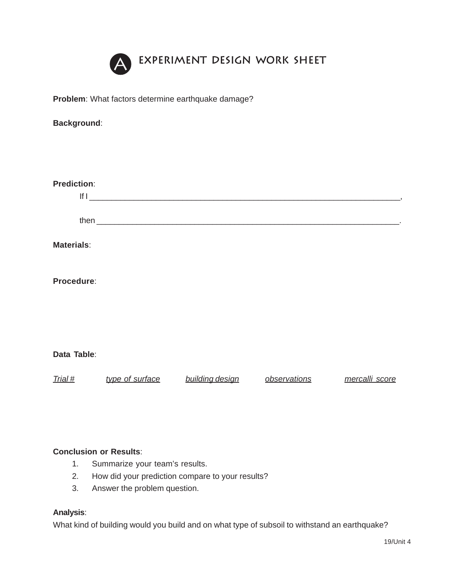

**Problem**: What factors determine earthquake damage?

| <b>Background:</b> |                 |                 |                |
|--------------------|-----------------|-----------------|----------------|
|                    |                 |                 |                |
|                    |                 |                 |                |
|                    |                 |                 |                |
|                    |                 |                 |                |
|                    |                 |                 |                |
|                    |                 |                 |                |
|                    |                 |                 |                |
|                    |                 |                 |                |
|                    |                 |                 |                |
|                    |                 |                 |                |
|                    |                 |                 |                |
|                    |                 |                 |                |
|                    |                 |                 |                |
|                    |                 |                 |                |
|                    |                 |                 |                |
|                    |                 |                 |                |
|                    |                 |                 |                |
|                    |                 | observations    | mercalli score |
|                    | type of surface | building design |                |

## **Conclusion or Results**:

- 1. Summarize your team's results.
- 2. How did your prediction compare to your results?
- 3. Answer the problem question.

#### **Analysis**:

What kind of building would you build and on what type of subsoil to withstand an earthquake?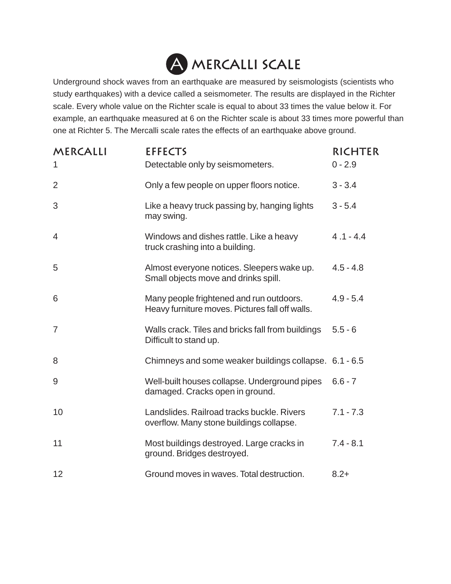

Underground shock waves from an earthquake are measured by seismologists (scientists who study earthquakes) with a device called a seismometer. The results are displayed in the Richter scale. Every whole value on the Richter scale is equal to about 33 times the value below it. For example, an earthquake measured at 6 on the Richter scale is about 33 times more powerful than one at Richter 5. The Mercalli scale rates the effects of an earthquake above ground.

| MERCALLI<br>1  | <b>EFFECTS</b><br>Detectable only by seismometers.                                          | <b>RICHTER</b><br>$0 - 2.9$ |
|----------------|---------------------------------------------------------------------------------------------|-----------------------------|
| $\overline{2}$ | Only a few people on upper floors notice.                                                   | $3 - 3.4$                   |
| 3              | Like a heavy truck passing by, hanging lights<br>may swing.                                 | $3 - 5.4$                   |
| $\overline{4}$ | Windows and dishes rattle. Like a heavy<br>truck crashing into a building.                  | $4.1 - 4.4$                 |
| 5              | Almost everyone notices. Sleepers wake up.<br>Small objects move and drinks spill.          | $4.5 - 4.8$                 |
| 6              | Many people frightened and run outdoors.<br>Heavy furniture moves. Pictures fall off walls. | $4.9 - 5.4$                 |
| $\overline{7}$ | Walls crack. Tiles and bricks fall from buildings<br>Difficult to stand up.                 | $5.5 - 6$                   |
| 8              | Chimneys and some weaker buildings collapse. 6.1 - 6.5                                      |                             |
| 9              | Well-built houses collapse. Underground pipes<br>damaged. Cracks open in ground.            | $6.6 - 7$                   |
| 10             | Landslides. Railroad tracks buckle. Rivers<br>overflow. Many stone buildings collapse.      | $7.1 - 7.3$                 |
| 11             | Most buildings destroyed. Large cracks in<br>ground. Bridges destroyed.                     | $7.4 - 8.1$                 |
| 12             | Ground moves in waves. Total destruction.                                                   | $8.2+$                      |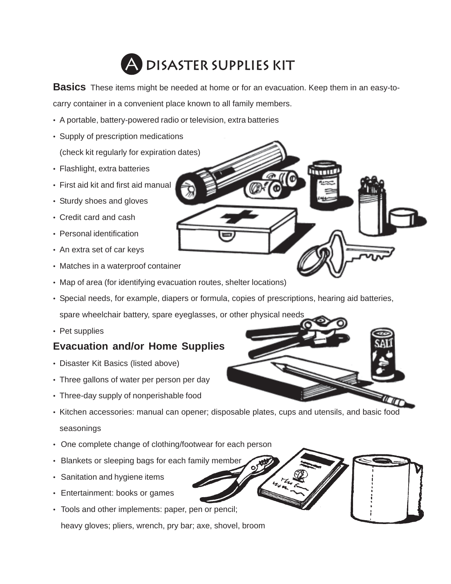

**Basics** These items might be needed at home or for an evacuation. Keep them in an easy-tocarry container in a convenient place known to all family members.

- A portable, battery-powered radio or television, extra batteries
- Supply of prescription medications (check kit regularly for expiration dates)
- Flashlight, extra batteries
- First aid kit and first aid manual
- Sturdy shoes and gloves
- Credit card and cash
- Personal identification
- An extra set of car keys
- Matches in a waterproof container
- Map of area (for identifying evacuation routes, shelter locations)
- Special needs, for example, diapers or formula, copies of prescriptions, hearing aid batteries, spare wheelchair battery, spare eyeglasses, or other physical needs
- Pet supplies

## **Evacuation and/or Home Supplies**

- Disaster Kit Basics (listed above)
- Three gallons of water per person per day
- Three-day supply of nonperishable food
- Kitchen accessories: manual can opener; disposable plates, cups and utensils, and basic food seasonings
- One complete change of clothing/footwear for each person
- Blankets or sleeping bags for each family member
- Sanitation and hygiene items
- Entertainment: books or games
- Tools and other implements: paper, pen or pencil; heavy gloves; pliers, wrench, pry bar; axe, shovel, broom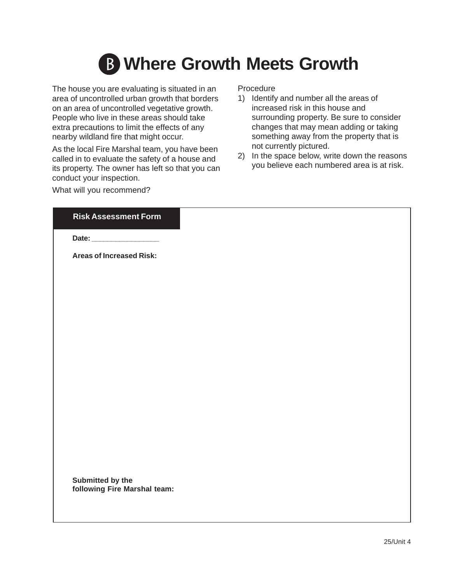

The house you are evaluating is situated in an area of uncontrolled urban growth that borders on an area of uncontrolled vegetative growth. People who live in these areas should take extra precautions to limit the effects of any nearby wildland fire that might occur.

As the local Fire Marshal team, you have been called in to evaluate the safety of a house and its property. The owner has left so that you can conduct your inspection.

What will you recommend?

# Procedure

- 1) Identify and number all the areas of increased risk in this house and surrounding property. Be sure to consider changes that may mean adding or taking something away from the property that is not currently pictured.
- 2) In the space below, write down the reasons you believe each numbered area is at risk.

#### **Risk Assessment Form**

**Date: \_\_\_\_\_\_\_\_\_\_\_\_\_\_\_\_\_**

**Areas of Increased Risk:**

**Submitted by the following Fire Marshal team:**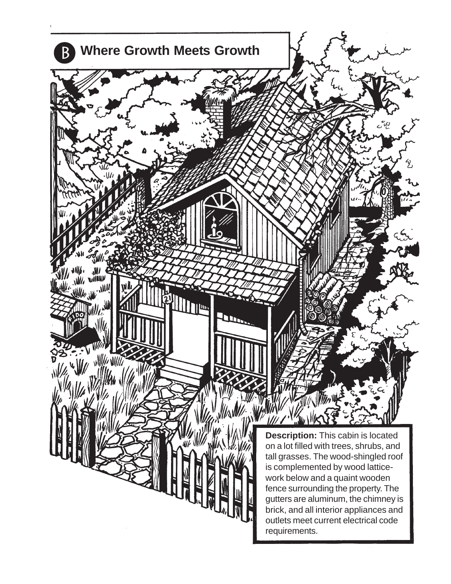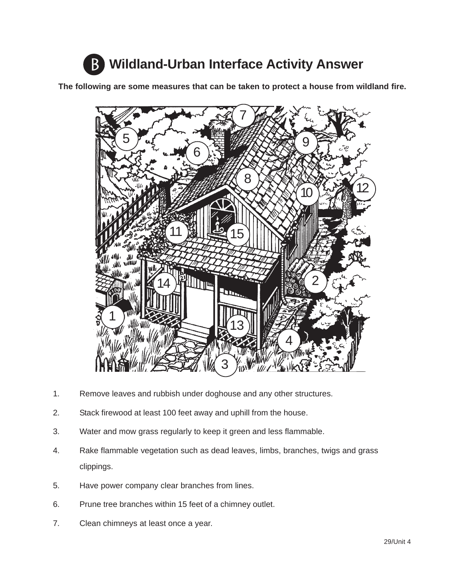

**The following are some measures that can be taken to protect a house from wildland fire.**



- 1. Remove leaves and rubbish under doghouse and any other structures.
- 2. Stack firewood at least 100 feet away and uphill from the house.
- 3. Water and mow grass regularly to keep it green and less flammable.
- 4. Rake flammable vegetation such as dead leaves, limbs, branches, twigs and grass clippings.
- 5. Have power company clear branches from lines.
- 6. Prune tree branches within 15 feet of a chimney outlet.
- 7. Clean chimneys at least once a year.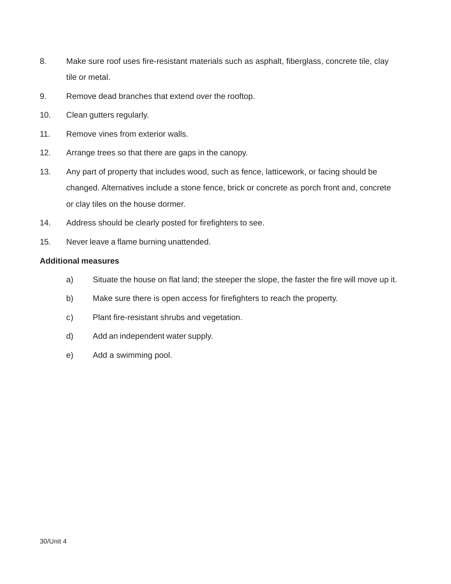- 8. Make sure roof uses fire-resistant materials such as asphalt, fiberglass, concrete tile, clay tile or metal.
- 9. Remove dead branches that extend over the rooftop.
- 10. Clean gutters regularly.
- 11. Remove vines from exterior walls.
- 12. Arrange trees so that there are gaps in the canopy.
- 13. Any part of property that includes wood, such as fence, latticework, or facing should be changed. Alternatives include a stone fence, brick or concrete as porch front and, concrete or clay tiles on the house dormer.
- 14. Address should be clearly posted for firefighters to see.
- 15. Never leave a flame burning unattended.

#### **Additional measures**

- a) Situate the house on flat land; the steeper the slope, the faster the fire will move up it.
- b) Make sure there is open access for firefighters to reach the property.
- c) Plant fire-resistant shrubs and vegetation.
- d) Add an independent water supply.
- e) Add a swimming pool.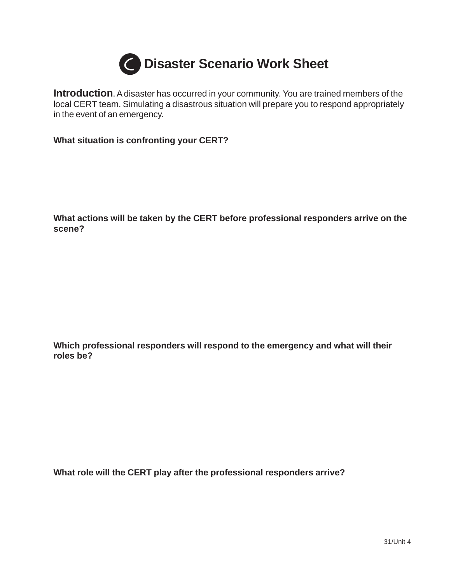

**Introduction**. A disaster has occurred in your community. You are trained members of the local CERT team. Simulating a disastrous situation will prepare you to respond appropriately in the event of an emergency.

**What situation is confronting your CERT?**

**What actions will be taken by the CERT before professional responders arrive on the scene?**

**Which professional responders will respond to the emergency and what will their roles be?**

**What role will the CERT play after the professional responders arrive?**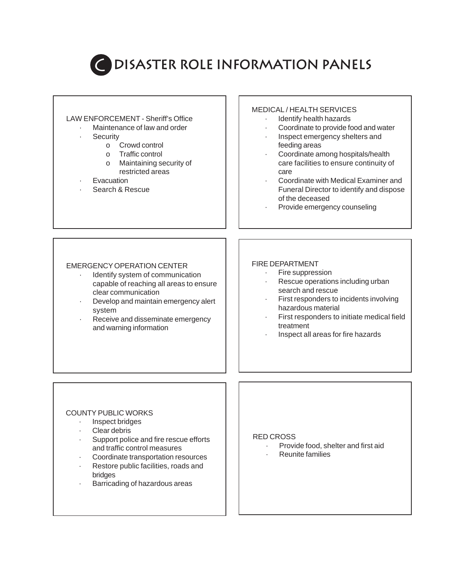

# **DISASTER ROLE INFORMATION PANELS**

#### LAW ENFORCEMENT - Sheriff's Office

- Maintenance of law and order
- **Security** 
	- o Crowd control
	- o Traffic control
	- o Maintaining security of restricted areas
- **Evacuation**
- Search & Rescue

#### MEDICAL / HEALTH SERVICES

- Identify health hazards
- Coordinate to provide food and water
- · Inspect emergency shelters and feeding areas
- Coordinate among hospitals/health care facilities to ensure continuity of care
- · Coordinate with Medical Examiner and Funeral Director to identify and dispose of the deceased
- Provide emergency counseling

#### EMERGENCY OPERATION CENTER

- Identify system of communication capable of reaching all areas to ensure clear communication
- Develop and maintain emergency alert system
- Receive and disseminate emergency and warning information

#### FIRE DEPARTMENT

- Fire suppression
- Rescue operations including urban search and rescue
- First responders to incidents involving hazardous material
- First responders to initiate medical field treatment
- · Inspect all areas for fire hazards

#### COUNTY PUBLIC WORKS

- · Inspect bridges
- Clear debris
- Support police and fire rescue efforts and traffic control measures
- Coordinate transportation resources
- Restore public facilities, roads and bridges
- Barricading of hazardous areas

#### RED CROSS

- · Provide food, shelter and first aid
- · Reunite families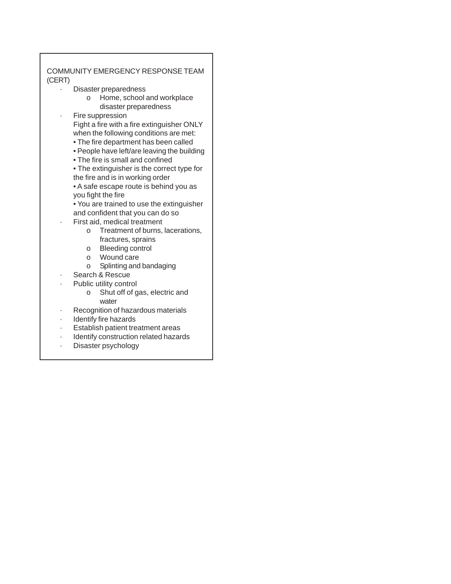#### COMMUNITY EMERGENCY RESPONSE TEAM (CERT)

- · Disaster preparedness
	- o Home, school and workplace disaster preparedness
- · Fire suppression

Fight a fire with a fire extinguisher ONLY when the following conditions are met:

- The fire department has been called
- People have left/are leaving the building
- The fire is small and confined

• The extinguisher is the correct type for the fire and is in working order • A safe escape route is behind you as

you fight the fire

• You are trained to use the extinguisher and confident that you can do so

- First aid, medical treatment
	- o Treatment of burns, lacerations, fractures, sprains
	- o Bleeding control
	- o Wound care
	- o Splinting and bandaging
- Search & Rescue
- Public utility control
	- o Shut off of gas, electric and water
- · Recognition of hazardous materials
- Identify fire hazards
- · Establish patient treatment areas
- · Identify construction related hazards
- · Disaster psychology